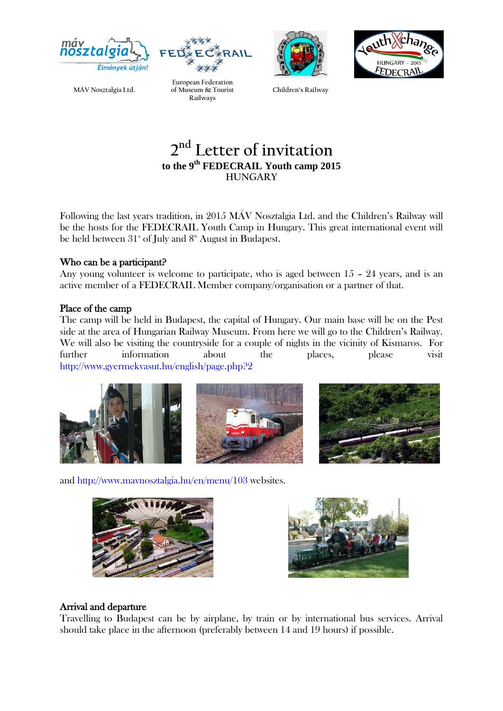







**MÁV Nosztalgia Ltd.**

**European Federation of Museum & Tourist Railways**

**Children's Railway**

## **2 nd Letter of invitation to the 9 th FEDECRAIL Youth camp 2015 HUNGARY**

Following the last years tradition, in 2015 MÁV Nosztalgia Ltd. and the Children's Railway will be the hosts for the FEDECRAIL Youth Camp in Hungary. This great international event will be held between  $31^{\text{\tiny{st}}}$  of July and  $8^{\text{\tiny{th}}}$  August in Budapest.

#### Who can be a participant?

Any young volunteer is welcome to participate, who is aged between 15 – 24 years, and is an active member of a FEDECRAIL Member company/organisation or a partner of that.

#### Place of the camp

The camp will be held in Budapest, the capital of Hungary. Our main base will be on the Pest side at the area of Hungarian Railway Museum. From here we will go to the Children's Railway. We will also be visiting the countryside for a couple of nights in the vicinity of Kismaros. For further information about the places, please visit <http://www.gyermekvasut.hu/english/page.php?2>



and<http://www.mavnosztalgia.hu/en/menu/103> websites.





## Arrival and departure

Travelling to Budapest can be by airplane, by train or by international bus services. Arrival should take place in the afternoon (preferably between 14 and 19 hours) if possible.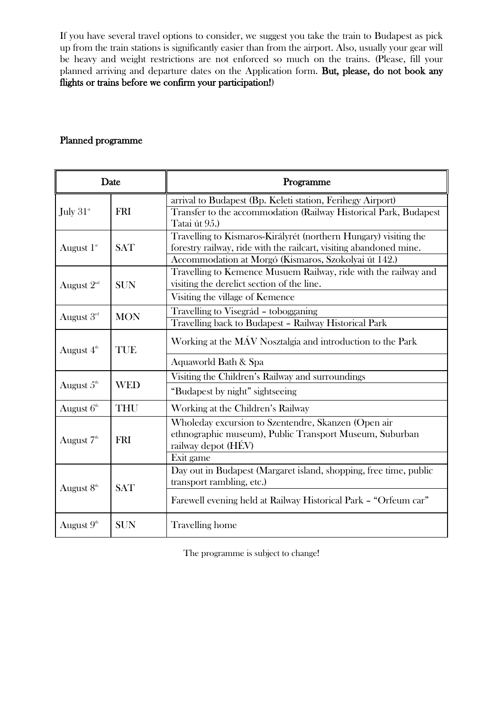If you have several travel options to consider, we suggest you take the train to Budapest as pick up from the train stations is significantly easier than from the airport. Also, usually your gear will be heavy and weight restrictions are not enforced so much on the trains. (Please, fill your planned arriving and departure dates on the Application form. But, please, do not book any flights or trains before we confirm your participation!)

#### Planned programme

| Date                   |            | Programme                                                                                                                                                                                      |
|------------------------|------------|------------------------------------------------------------------------------------------------------------------------------------------------------------------------------------------------|
| July 31st              | <b>FRI</b> | arrival to Budapest (Bp. Keleti station, Ferihegy Airport)<br>Transfer to the accommodation (Railway Historical Park, Budapest<br>Tatai út 95.)                                                |
| August $1st$           | <b>SAT</b> | Travelling to Kismaros-Királyrét (northern Hungary) visiting the<br>forestry railway, ride with the railcart, visiting abandoned mine.<br>Accommodation at Morgó (Kismaros, Szokolyai út 142.) |
| August $2^{\text{nd}}$ | <b>SUN</b> | Travelling to Kemence Musuem Railway, ride with the railway and<br>visiting the derelict section of the line.<br>Visiting the village of Kemence                                               |
| August 3rd             | <b>MON</b> | Travelling to Visegrád - tobogganing<br>Travelling back to Budapest - Railway Historical Park                                                                                                  |
| August $4th$           | TUE        | Working at the MÁV Nosztalgia and introduction to the Park<br>Aquaworld Bath & Spa                                                                                                             |
| August $5^{\text{th}}$ | <b>WED</b> | Visiting the Children's Railway and surroundings<br>"Budapest by night" sightseeing                                                                                                            |
| August 6th             | <b>THU</b> | Working at the Children's Railway                                                                                                                                                              |
| August $7th$           | <b>FRI</b> | Wholeday excursion to Szentendre, Skanzen (Open air<br>ethnographic museum), Public Transport Museum, Suburban<br>railway depot (HÉV)<br>Exit game                                             |
| August 8 <sup>th</sup> | <b>SAT</b> | Day out in Budapest (Margaret island, shopping, free time, public<br>transport rambling, etc.)<br>Farewell evening held at Railway Historical Park - "Orfeum car"                              |
| August 9 <sup>th</sup> | <b>SUN</b> | <b>Travelling</b> home                                                                                                                                                                         |

The programme is subject to change!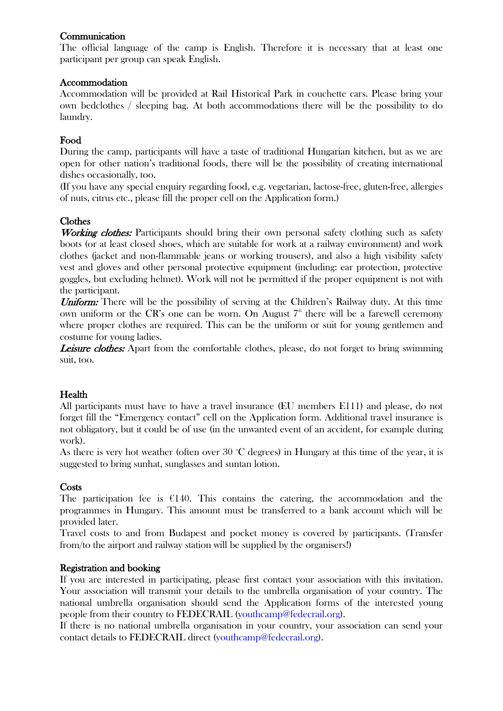## **Communication**

The official language of the camp is English. Therefore it is necessary that at least one participant per group can speak English.

#### Accommodation

Accommodation will be provided at Rail Historical Park in couchette cars. Please bring your own bedclothes / sleeping bag. At both accommodations there will be the possibility to do laundry.

## Food

During the camp, participants will have a taste of traditional Hungarian kitchen, but as we are open for other nation's traditional foods, there will be the possibility of creating international dishes occasionally, too.

(If you have any special enquiry regarding food, e.g. vegetarian, lactose-free, gluten-free, allergies of nuts, citrus etc., please fill the proper cell on the Application form.)

## Clothes

Working clothes: Participants should bring their own personal safety clothing such as safety boots (or at least closed shoes, which are suitable for work at a railway environment) and work clothes (jacket and non-flammable jeans or working trousers), and also a high visibility safety vest and gloves and other personal protective equipment (including: ear protection, protective goggles, but excluding helmet). Work will not be permitted if the proper equipment is not with the participant.

Uniform: There will be the possibility of serving at the Children's Railway duty. At this time own uniform or the CR's one can be worn. On August  $7<sup>th</sup>$  there will be a farewell ceremony where proper clothes are required. This can be the uniform or suit for young gentlemen and costume for young ladies.

**Leisure clothes:** Apart from the comfortable clothes, please, do not forget to bring swimming suit, too.

## Health

All participants must have to have a travel insurance (EU members E111) and please, do not forget fill the "Emergency contact" cell on the Application form. Additional travel insurance is not obligatory, but it could be of use (in the unwanted event of an accident, for example during work).

As there is very hot weather (often over  $30^{\circ}$ C degrees) in Hungary at this time of the year, it is suggested to bring sunhat, sunglasses and suntan lotion.

## **Costs**

The participation fee is  $E140$ . This contains the catering, the accommodation and the programmes in Hungary. This amount must be transferred to a bank account which will be provided later.

Travel costs to and from Budapest and pocket money is covered by participants. (Transfer from/to the airport and railway station will be supplied by the organisers!)

#### Registration and booking

If you are interested in participating, please first contact your association with this invitation. Your association will transmit your details to the umbrella organisation of your country. The national umbrella organisation should send the Application forms of the interested young people from their country to FEDECRAIL (youthcamp@fedecrail.org).

If there is no national umbrella organisation in your country, your association can send your contact details to FEDECRAIL direct (youthcamp@fedecrail.org).